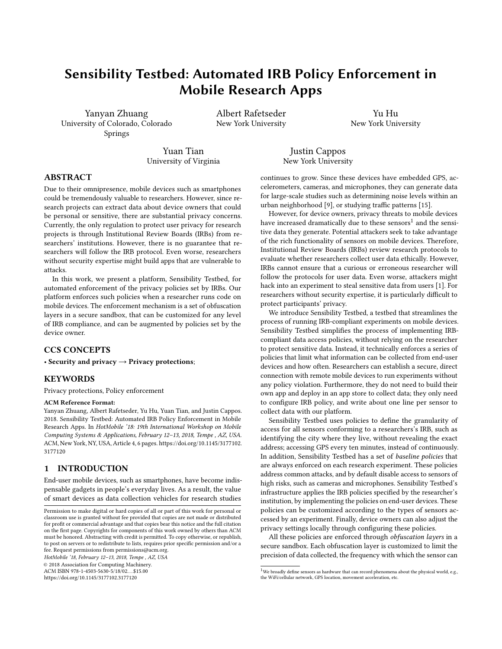# Sensibility Testbed: Automated IRB Policy Enforcement in Mobile Research Apps

Yanyan Zhuang University of Colorado, Colorado Springs

Albert Rafetseder New York University

Yu Hu New York University

Yuan Tian University of Virginia

Justin Cappos New York University

# ABSTRACT

Due to their omnipresence, mobile devices such as smartphones could be tremendously valuable to researchers. However, since research projects can extract data about device owners that could be personal or sensitive, there are substantial privacy concerns. Currently, the only regulation to protect user privacy for research projects is through Institutional Review Boards (IRBs) from researchers' institutions. However, there is no guarantee that researchers will follow the IRB protocol. Even worse, researchers without security expertise might build apps that are vulnerable to attacks.

In this work, we present a platform, Sensibility Testbed, for automated enforcement of the privacy policies set by IRBs. Our platform enforces such policies when a researcher runs code on mobile devices. The enforcement mechanism is a set of obfuscation layers in a secure sandbox, that can be customized for any level of IRB compliance, and can be augmented by policies set by the device owner.

#### CCS CONCEPTS

• Security and privacy  $\rightarrow$  Privacy protections;

# **KEYWORDS**

Privacy protections, Policy enforcement

#### ACM Reference Format:

Yanyan Zhuang, Albert Rafetseder, Yu Hu, Yuan Tian, and Justin Cappos. 2018. Sensibility Testbed: Automated IRB Policy Enforcement in Mobile Research Apps. In HotMobile '18: 19th International Workshop on Mobile Computing Systems & Applications, February 12–13, 2018, Tempe , AZ, USA. ACM, New York, NY, USA, Article 4, [6](#page-5-0) pages. [https://doi.org/10.1145/3177102.](https://doi.org/10.1145/3177102.3177120) [3177120](https://doi.org/10.1145/3177102.3177120)

# 1 INTRODUCTION

End-user mobile devices, such as smartphones, have become indispensable gadgets in people's everyday lives. As a result, the value of smart devices as data collection vehicles for research studies

HotMobile '18, February 12–13, 2018, Tempe , AZ, USA

© 2018 Association for Computing Machinery.

ACM ISBN 978-1-4503-5630-5/18/02. . . \$15.00 <https://doi.org/10.1145/3177102.3177120>

continues to grow. Since these devices have embedded GPS, accelerometers, cameras, and microphones, they can generate data for large-scale studies such as determining noise levels within an urban neighborhood [\[9\]](#page-5-1), or studying traffic patterns [\[15\]](#page-5-2).

However, for device owners, privacy threats to mobile devices have increased dramatically due to these sensors $^{\rm 1}$  $^{\rm 1}$  $^{\rm 1}$  and the sensitive data they generate. Potential attackers seek to take advantage of the rich functionality of sensors on mobile devices. Therefore, Institutional Review Boards (IRBs) review research protocols to evaluate whether researchers collect user data ethically. However, IRBs cannot ensure that a curious or erroneous researcher will follow the protocols for user data. Even worse, attackers might hack into an experiment to steal sensitive data from users [\[1\]](#page-5-3). For researchers without security expertise, it is particularly difficult to protect participants' privacy.

We introduce Sensibility Testbed, a testbed that streamlines the process of running IRB-compliant experiments on mobile devices. Sensibility Testbed simplifies the process of implementing IRBcompliant data access policies, without relying on the researcher to protect sensitive data. Instead, it technically enforces a series of policies that limit what information can be collected from end-user devices and how often. Researchers can establish a secure, direct connection with remote mobile devices to run experiments without any policy violation. Furthermore, they do not need to build their own app and deploy in an app store to collect data; they only need to configure IRB policy, and write about one line per sensor to collect data with our platform.

Sensibility Testbed uses policies to define the granularity of access for all sensors conforming to a researchers's IRB, such as identifying the city where they live, without revealing the exact address; accessing GPS every ten minutes, instead of continuously. In addition, Sensibility Testbed has a set of baseline policies that are always enforced on each research experiment. These policies address common attacks, and by default disable access to sensors of high risks, such as cameras and microphones. Sensibility Testbed's infrastructure applies the IRB policies specified by the researcher's institution, by implementing the policies on end-user devices. These policies can be customized according to the types of sensors accessed by an experiment. Finally, device owners can also adjust the privacy settings locally through configuring these policies.

All these policies are enforced through obfuscation layers in a secure sandbox. Each obfuscation layer is customized to limit the precision of data collected, the frequency with which the sensor can

Permission to make digital or hard copies of all or part of this work for personal or classroom use is granted without fee provided that copies are not made or distributed for profit or commercial advantage and that copies bear this notice and the full citation on the first page. Copyrights for components of this work owned by others than ACM must be honored. Abstracting with credit is permitted. To copy otherwise, or republish, to post on servers or to redistribute to lists, requires prior specific permission and/or a fee. Request permissions from permissions@acm.org.

<span id="page-0-0"></span> $1$ We broadly define sensors as hardware that can record phenomena about the physical world, e.g., the WiFi/cellular network, GPS location, movement acceleration, etc.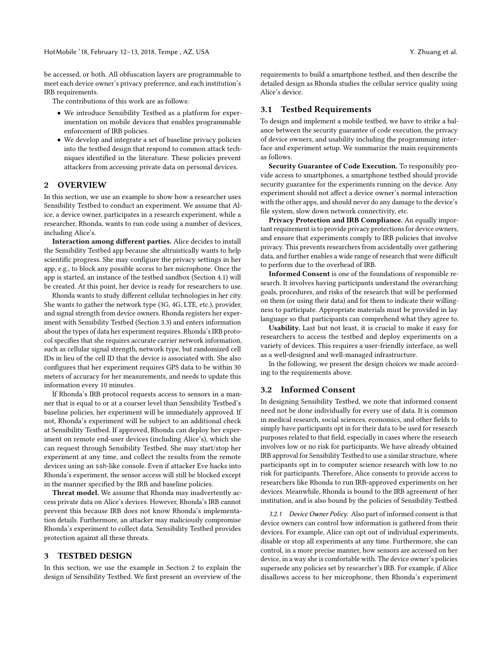be accessed, or both. All obfuscation layers are programmable to meet each device owner's privacy preference, and each institution's IRB requirements.

The contributions of this work are as follows:

- We introduce Sensibility Testbed as a platform for experimentation on mobile devices that enables programmable enforcement of IRB policies.
- We develop and integrate a set of baseline privacy policies into the testbed design that respond to common attack techniques identified in the literature. These policies prevent attackers from accessing private data on personal devices.

# <span id="page-1-0"></span>2 OVERVIEW

In this section, we use an example to show how a researcher uses Sensibility Testbed to conduct an experiment. We assume that Alice, a device owner, participates in a research experiment, while a researcher, Rhonda, wants to run code using a number of devices, including Alice's.

Interaction among different parties. Alice decides to install the Sensibility Testbed app because she altruistically wants to help scientific progress. She may configure the privacy settings in her app, e.g., to block any possible access to her microphone. Once the app is started, an instance of the testbed sandbox (Section [4.1\)](#page-3-0) will be created. At this point, her device is ready for researchers to use.

Rhonda wants to study different cellular technologies in her city. She wants to gather the network type (3G, 4G, LTE, etc.), provider, and signal strength from device owners. Rhonda registers her experiment with Sensibility Testbed (Section [3.3\)](#page-2-0) and enters information about the types of data her experiment requires. Rhonda's IRB protocol specifies that she requires accurate carrier network information, such as cellular signal strength, network type, but randomized cell IDs in lieu of the cell ID that the device is associated with. She also configures that her experiment requires GPS data to be within 30 meters of accuracy for her measurements, and needs to update this information every 10 minutes.

If Rhonda's IRB protocol requests access to sensors in a manner that is equal to or at a coarser level than Sensibility Testbed's baseline policies, her experiment will be immediately approved. If not, Rhonda's experiment will be subject to an additional check at Sensibility Testbed. If approved, Rhonda can deploy her experiment on remote end-user devices (including Alice's), which she can request through Sensibility Testbed. She may start/stop her experiment at any time, and collect the results from the remote devices using an ssh-like console. Even if attacker Eve hacks into Rhonda's experiment, the sensor access will still be blocked except in the manner specified by the IRB and baseline policies.

Threat model. We assume that Rhonda may inadvertently access private data on Alice's devices. However, Rhonda's IRB cannot prevent this because IRB does not know Rhonda's implementation details. Furthermore, an attacker may maliciously compromise Rhonda's experiment to collect data. Sensibility Testbed provides protection against all these threats.

#### <span id="page-1-1"></span>3 TESTBED DESIGN

In this section, we use the example in Section [2](#page-1-0) to explain the design of Sensibility Testbed. We first present an overview of the requirements to build a smartphone testbed, and then describe the detailed design as Rhonda studies the cellular service quality using Alice's device.

#### 3.1 Testbed Requirements

To design and implement a mobile testbed, we have to strike a balance between the security guarantee of code execution, the privacy of device owners, and usability including the programming interface and experiment setup. We summarize the main requirements as follows.

Security Guarantee of Code Execution. To responsibly provide access to smartphones, a smartphone testbed should provide security guarantee for the experiments running on the device. Any experiment should not affect a device owner's normal interaction with the other apps, and should never do any damage to the device's file system, slow down network connectivity, etc.

Privacy Protection and IRB Compliance. An equally important requirement is to provide privacy protections for device owners, and ensure that experiments comply to IRB policies that involve privacy. This prevents researchers from accidentally over gathering data, and further enables a wide range of research that were difficult to perform due to the overhead of IRB.

Informed Consent is one of the foundations of responsible research. It involves having participants understand the overarching goals, procedures, and risks of the research that will be performed on them (or using their data) and for them to indicate their willingness to participate. Appropriate materials must be provided in lay language so that participants can comprehend what they agree to.

Usability. Last but not least, it is crucial to make it easy for researchers to access the testbed and deploy experiments on a variety of devices. This requires a user-friendly interface, as well as a well-designed and well-managed infrastructure.

In the following, we present the design choices we made according to the requirements above.

#### 3.2 Informed Consent

In designing Sensibility Testbed, we note that informed consent need not be done individually for every use of data. It is common in medical research, social sciences, economics, and other fields to simply have participants opt in for their data to be used for research purposes related to that field, especially in cases where the research involves low or no risk for participants. We have already obtained IRB approval for Sensibility Testbed to use a similar structure, where participants opt in to computer science research with low to no risk for participants. Therefore, Alice consents to provide access to researchers like Rhonda to run IRB-approved experiments on her devices. Meanwhile, Rhonda is bound to the IRB agreement of her institution, and is also bound by the policies of Sensibility Testbed.

3.2.1 Device Owner Policy. Also part of informed consent is that device owners can control how information is gathered from their devices. For example, Alice can opt out of individual experiments, disable or stop all experiments at any time. Furthermore, she can control, in a more precise manner, how sensors are accessed on her device, in a way she is comfortable with. The device owner's policies supersede any policies set by researcher's IRB. For example, if Alice disallows access to her microphone, then Rhonda's experiment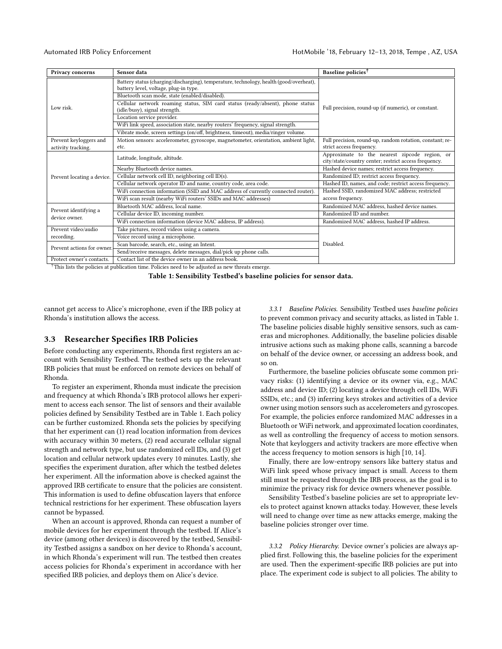<span id="page-2-1"></span>

| Privacy concerns                       | Sensor data                                                                                                                      | Baseline policies <sup>†</sup>                                                                         |
|----------------------------------------|----------------------------------------------------------------------------------------------------------------------------------|--------------------------------------------------------------------------------------------------------|
| Low risk.                              | Battery status (charging/discharging), temperature, technology, health (good/overheat),<br>battery level, voltage, plug-in type. |                                                                                                        |
|                                        | Bluetooth scan mode, state (enabled/disabled).                                                                                   |                                                                                                        |
|                                        | Cellular network roaming status, SIM card status (ready/absent), phone status<br>(idle/busy), signal strength.                   | Full precision, round-up (if numeric), or constant.                                                    |
|                                        | Location service provider.                                                                                                       |                                                                                                        |
|                                        | WiFi link speed, association state, nearby routers' frequency, signal strength.                                                  |                                                                                                        |
|                                        | Vibrate mode, screen settings (on/off, brightness, timeout), media/ringer volume.                                                |                                                                                                        |
| Prevent keyloggers and                 | Motion sensors: accelerometer, gyroscope, magnetometer, orientation, ambient light,                                              | Full precision, round-up, random rotation, constant; re-                                               |
| activity tracking.                     | etc.                                                                                                                             | strict access frequency.                                                                               |
| Prevent locating a device.             | Latitude, longitude, altitude.                                                                                                   | Approximate to the nearest zipcode region, or<br>city/state/country center; restrict access frequency. |
|                                        | Nearby Bluetooth device names.                                                                                                   | Hashed device names; restrict access frequency.                                                        |
|                                        | Cellular network cell ID, neighboring cell ID(s).                                                                                | Randomized ID; restrict access frequency.                                                              |
|                                        | Cellular network operator ID and name, country code, area code.                                                                  | Hashed ID, names, and code; restrict access frequency.                                                 |
|                                        | WiFi connection information (SSID and MAC address of currently connected router).                                                | Hashed SSID, randomized MAC address; restricted                                                        |
|                                        | WiFi scan result (nearby WiFi routers' SSIDs and MAC addresses)                                                                  | access frequency.                                                                                      |
| Prevent identifying a<br>device owner. | Bluetooth MAC address, local name.                                                                                               | Randomized MAC address, hashed device names.                                                           |
|                                        | Cellular device ID, incoming number.                                                                                             | Randomized ID and number.                                                                              |
|                                        | WiFi connection information (device MAC address, IP address).                                                                    | Randomized MAC address, hashed IP address.                                                             |
| Prevent video/audio<br>recording.      | Take pictures, record videos using a camera.                                                                                     |                                                                                                        |
|                                        | Voice record using a microphone.                                                                                                 |                                                                                                        |
| Prevent actions for owner.             | Scan barcode, search, etc., using an Intent.                                                                                     | Disabled.                                                                                              |
|                                        | Send/receive messages, delete messages, dial/pick up phone calls.                                                                |                                                                                                        |
| Protect owner's contacts.              | Contact list of the device owner in an address book.                                                                             |                                                                                                        |

†This lists the policies at publication time. Policies need to be adjusted as new threats emerge.

Table 1: Sensibility Testbed's baseline policies for sensor data.

cannot get access to Alice's microphone, even if the IRB policy at Rhonda's institution allows the access.

#### <span id="page-2-0"></span>3.3 Researcher Specifies IRB Policies

Before conducting any experiments, Rhonda first registers an account with Sensibility Testbed. The testbed sets up the relevant IRB policies that must be enforced on remote devices on behalf of Rhonda.

To register an experiment, Rhonda must indicate the precision and frequency at which Rhonda's IRB protocol allows her experiment to access each sensor. The list of sensors and their available policies defined by Sensibility Testbed are in Table [1.](#page-2-1) Each policy can be further customized. Rhonda sets the policies by specifying that her experiment can (1) read location information from devices with accuracy within 30 meters, (2) read accurate cellular signal strength and network type, but use randomized cell IDs, and (3) get location and cellular network updates every 10 minutes. Lastly, she specifies the experiment duration, after which the testbed deletes her experiment. All the information above is checked against the approved IRB certificate to ensure that the policies are consistent. This information is used to define obfuscation layers that enforce technical restrictions for her experiment. These obfuscation layers cannot be bypassed.

When an account is approved, Rhonda can request a number of mobile devices for her experiment through the testbed. If Alice's device (among other devices) is discovered by the testbed, Sensibility Testbed assigns a sandbox on her device to Rhonda's account, in which Rhonda's experiment will run. The testbed then creates access policies for Rhonda's experiment in accordance with her specified IRB policies, and deploys them on Alice's device.

3.3.1 Baseline Policies. Sensibility Testbed uses baseline policies to prevent common privacy and security attacks, as listed in Table [1.](#page-2-1) The baseline policies disable highly sensitive sensors, such as cameras and microphones. Additionally, the baseline policies disable intrusive actions such as making phone calls, scanning a barcode on behalf of the device owner, or accessing an address book, and so on.

Furthermore, the baseline policies obfuscate some common privacy risks: (1) identifying a device or its owner via, e.g., MAC address and device ID; (2) locating a device through cell IDs, WiFi SSIDs, etc.; and (3) inferring keys strokes and activities of a device owner using motion sensors such as accelerometers and gyroscopes. For example, the policies enforce randomized MAC addresses in a Bluetooth or WiFi network, and approximated location coordinates, as well as controlling the frequency of access to motion sensors. Note that keyloggers and activity trackers are more effective when the access frequency to motion sensors is high [\[10,](#page-5-4) [14\]](#page-5-5).

Finally, there are low-entropy sensors like battery status and WiFi link speed whose privacy impact is small. Access to them still must be requested through the IRB process, as the goal is to minimize the privacy risk for device owners whenever possible.

Sensibility Testbed's baseline policies are set to appropriate levels to protect against known attacks today. However, these levels will need to change over time as new attacks emerge, making the baseline policies stronger over time.

3.3.2 Policy Hierarchy. Device owner's policies are always applied first. Following this, the baseline policies for the experiment are used. Then the experiment-specific IRB policies are put into place. The experiment code is subject to all policies. The ability to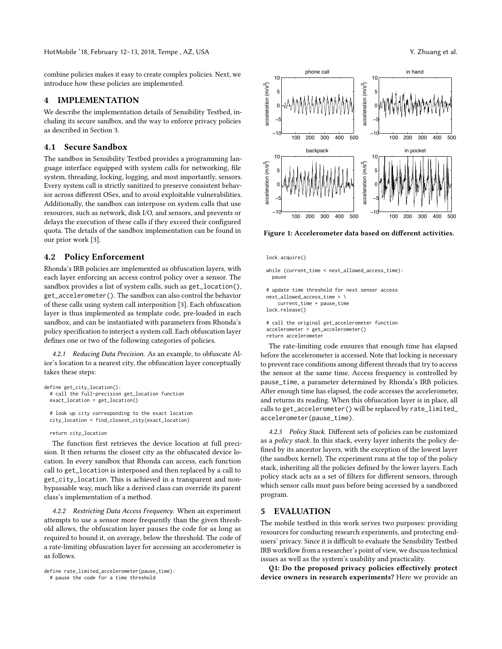combine policies makes it easy to create complex policies. Next, we introduce how these policies are implemented.

#### 4 IMPLEMENTATION

We describe the implementation details of Sensibility Testbed, including its secure sandbox, and the way to enforce privacy policies as described in Section [3.](#page-1-1)

#### <span id="page-3-0"></span>4.1 Secure Sandbox

The sandbox in Sensibility Testbed provides a programming language interface equipped with system calls for networking, file system, threading, locking, logging, and most importantly, sensors. Every system call is strictly sanitized to preserve consistent behavior across different OSes, and to avoid exploitable vulnerabilities. Additionally, the sandbox can interpose on system calls that use resources, such as network, disk I/O, and sensors, and prevents or delays the execution of these calls if they exceed their configured quota. The details of the sandbox implementation can be found in our prior work [\[3\]](#page-5-6).

# 4.2 Policy Enforcement

Rhonda's IRB policies are implemented as obfuscation layers, with each layer enforcing an access control policy over a sensor. The sandbox provides a list of system calls, such as get\_location(), get\_accelerometer(). The sandbox can also control the behavior of these calls using system call interposition [\[3\]](#page-5-6). Each obfuscation layer is thus implemented as template code, pre-loaded in each sandbox, and can be instantiated with parameters from Rhonda's policy specification to interject a system call. Each obfuscation layer defines one or two of the following categories of policies.

4.2.1 Reducing Data Precision. As an example, to obfuscate Alice's location to a nearest city, the obfuscation layer conceptually takes these steps:

```
define get_city_location():
 # call the full-precision get_location function
exact_location = get_location()
 # look up city corresponding to the exact location
```
city\_location = find\_closest\_city(exact\_location)

#### return city\_location

The function first retrieves the device location at full precision. It then returns the closest city as the obfuscated device location. In every sandbox that Rhonda can access, each function call to get\_location is interposed and then replaced by a call to get\_city\_location. This is achieved in a transparent and nonbypassable way, much like a derived class can override its parent class's implementation of a method.

4.2.2 Restricting Data Access Frequency. When an experiment attempts to use a sensor more frequently than the given threshold allows, the obfuscation layer pauses the code for as long as required to bound it, on average, below the threshold. The code of a rate-limiting obfuscation layer for accessing an accelerometer is as follows.

```
define rate_limited_accelerometer(pause_time):
```

```
# pause the code for a time threshold
```
<span id="page-3-1"></span>

Figure 1: Accelerometer data based on different activities.

lock.acquire()

```
while (current_time < next_allowed_access_time):
pause
```
# update time threshold for next sensor access next allowed access time =  $\setminus$ current\_time + pause\_time lock.release()

# call the original get\_accelerometer function accelerometer = get\_accelerometer() return accelerometer

The rate-limiting code ensures that enough time has elapsed before the accelerometer is accessed. Note that locking is necessary to prevent race conditions among different threads that try to access the sensor at the same time. Access frequency is controlled by pause\_time, a parameter determined by Rhonda's IRB policies. After enough time has elapsed, the code accesses the accelerometer, and returns its reading. When this obfuscation layer is in place, all calls to get\_accelerometer() will be replaced by rate\_limited\_ accelerometer(pause\_time).

4.2.3 Policy Stack. Different sets of policies can be customized as a policy stack. In this stack, every layer inherits the policy defined by its ancestor layers, with the exception of the lowest layer (the sandbox kernel). The experiment runs at the top of the policy stack, inheriting all the policies defined by the lower layers. Each policy stack acts as a set of filters for different sensors, through which sensor calls must pass before being accessed by a sandboxed program.

#### 5 EVALUATION

The mobile testbed in this work serves two purposes: providing resources for conducting research experiments, and protecting endusers' privacy. Since it is difficult to evaluate the Sensibility Testbed IRB workflow from a researcher's point of view, we discuss technical issues as well as the system's usability and practicality.

Q1: Do the proposed privacy policies effectively protect device owners in research experiments? Here we provide an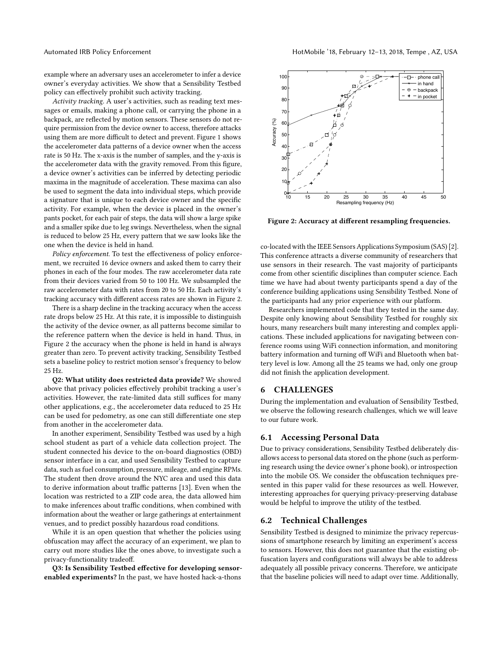example where an adversary uses an accelerometer to infer a device owner's everyday activities. We show that a Sensibility Testbed policy can effectively prohibit such activity tracking.

Activity tracking. A user's activities, such as reading text messages or emails, making a phone call, or carrying the phone in a backpack, are reflected by motion sensors. These sensors do not require permission from the device owner to access, therefore attacks using them are more difficult to detect and prevent. Figure [1](#page-3-1) shows the accelerometer data patterns of a device owner when the access rate is 50 Hz. The x-axis is the number of samples, and the y-axis is the accelerometer data with the gravity removed. From this figure, a device owner's activities can be inferred by detecting periodic maxima in the magnitude of acceleration. These maxima can also be used to segment the data into individual steps, which provide a signature that is unique to each device owner and the specific activity. For example, when the device is placed in the owner's pants pocket, for each pair of steps, the data will show a large spike and a smaller spike due to leg swings. Nevertheless, when the signal is reduced to below 25 Hz, every pattern that we saw looks like the one when the device is held in hand.

Policy enforcement. To test the effectiveness of policy enforcement, we recruited 16 device owners and asked them to carry their phones in each of the four modes. The raw accelerometer data rate from their devices varied from 50 to 100 Hz. We subsampled the raw accelerometer data with rates from 20 to 50 Hz. Each activity's tracking accuracy with different access rates are shown in Figure [2.](#page-4-0)

There is a sharp decline in the tracking accuracy when the access rate drops below 25 Hz. At this rate, it is impossible to distinguish the activity of the device owner, as all patterns become similar to the reference pattern when the device is held in hand. Thus, in Figure [2](#page-4-0) the accuracy when the phone is held in hand is always greater than zero. To prevent activity tracking, Sensibility Testbed sets a baseline policy to restrict motion sensor's frequency to below 25 Hz.

Q2: What utility does restricted data provide? We showed above that privacy policies effectively prohibit tracking a user's activities. However, the rate-limited data still suffices for many other applications, e.g., the accelerometer data reduced to 25 Hz can be used for pedometry, as one can still differentiate one step from another in the accelerometer data.

In another experiment, Sensibility Testbed was used by a high school student as part of a vehicle data collection project. The student connected his device to the on-board diagnostics (OBD) sensor interface in a car, and used Sensibility Testbed to capture data, such as fuel consumption, pressure, mileage, and engine RPMs. The student then drove around the NYC area and used this data to derive information about traffic patterns [\[13\]](#page-5-7). Even when the location was restricted to a ZIP code area, the data allowed him to make inferences about traffic conditions, when combined with information about the weather or large gatherings at entertainment venues, and to predict possibly hazardous road conditions.

While it is an open question that whether the policies using obfuscation may affect the accuracy of an experiment, we plan to carry out more studies like the ones above, to investigate such a privacy-functionality tradeoff.

Q3: Is Sensibility Testbed effective for developing sensorenabled experiments? In the past, we have hosted hack-a-thons

<span id="page-4-0"></span>

Figure 2: Accuracy at different resampling frequencies.

co-located with the IEEE Sensors Applications Symposium (SAS) [\[2\]](#page-5-8). This conference attracts a diverse community of researchers that use sensors in their research. The vast majority of participants come from other scientific disciplines than computer science. Each time we have had about twenty participants spend a day of the conference building applications using Sensibility Testbed. None of the participants had any prior experience with our platform.

Researchers implemented code that they tested in the same day. Despite only knowing about Sensibility Testbed for roughly six hours, many researchers built many interesting and complex applications. These included applications for navigating between conference rooms using WiFi connection information, and monitoring battery information and turning off WiFi and Bluetooth when battery level is low. Among all the 25 teams we had, only one group did not finish the application development.

#### 6 CHALLENGES

During the implementation and evaluation of Sensibility Testbed, we observe the following research challenges, which we will leave to our future work.

# 6.1 Accessing Personal Data

Due to privacy considerations, Sensibility Testbed deliberately disallows access to personal data stored on the phone (such as performing research using the device owner's phone book), or introspection into the mobile OS. We consider the obfuscation techniques presented in this paper valid for these resources as well. However, interesting approaches for querying privacy-preserving database would be helpful to improve the utility of the testbed.

### 6.2 Technical Challenges

Sensibility Testbed is designed to minimize the privacy repercussions of smartphone research by limiting an experiment's access to sensors. However, this does not guarantee that the existing obfuscation layers and configurations will always be able to address adequately all possible privacy concerns. Therefore, we anticipate that the baseline policies will need to adapt over time. Additionally,